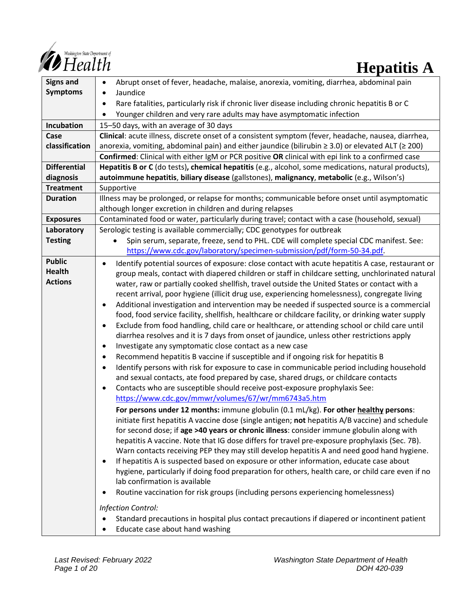

| <b>Signs and</b>                    | Abrupt onset of fever, headache, malaise, anorexia, vomiting, diarrhea, abdominal pain                                                                                                   |
|-------------------------------------|------------------------------------------------------------------------------------------------------------------------------------------------------------------------------------------|
| <b>Symptoms</b>                     | Jaundice                                                                                                                                                                                 |
|                                     | Rare fatalities, particularly risk if chronic liver disease including chronic hepatitis B or C<br>$\bullet$                                                                              |
|                                     | Younger children and very rare adults may have asymptomatic infection                                                                                                                    |
| Incubation                          | 15-50 days, with an average of 30 days                                                                                                                                                   |
| Case                                | Clinical: acute illness, discrete onset of a consistent symptom (fever, headache, nausea, diarrhea,                                                                                      |
| classification                      | anorexia, vomiting, abdominal pain) and either jaundice (bilirubin $\geq$ 3.0) or elevated ALT ( $\geq$ 200)                                                                             |
|                                     | Confirmed: Clinical with either IgM or PCR positive OR clinical with epi link to a confirmed case                                                                                        |
| <b>Differential</b>                 | Hepatitis B or C (do tests), chemical hepatitis (e.g., alcohol, some medications, natural products),                                                                                     |
| diagnosis                           | autoimmune hepatitis, biliary disease (gallstones), malignancy, metabolic (e.g., Wilson's)                                                                                               |
| <b>Treatment</b><br><b>Duration</b> | Supportive<br>Illness may be prolonged, or relapse for months; communicable before onset until asymptomatic                                                                              |
|                                     | although longer excretion in children and during relapses                                                                                                                                |
| <b>Exposures</b>                    | Contaminated food or water, particularly during travel; contact with a case (household, sexual)                                                                                          |
| Laboratory                          | Serologic testing is available commercially; CDC genotypes for outbreak                                                                                                                  |
| <b>Testing</b>                      | Spin serum, separate, freeze, send to PHL. CDE will complete special CDC manifest. See:                                                                                                  |
|                                     | https://www.cdc.gov/laboratory/specimen-submission/pdf/form-50-34.pdf.                                                                                                                   |
| <b>Public</b>                       | Identify potential sources of exposure: close contact with acute hepatitis A case, restaurant or<br>$\bullet$                                                                            |
| <b>Health</b>                       | group meals, contact with diapered children or staff in childcare setting, unchlorinated natural                                                                                         |
| <b>Actions</b>                      | water, raw or partially cooked shellfish, travel outside the United States or contact with a                                                                                             |
|                                     | recent arrival, poor hygiene (illicit drug use, experiencing homelessness), congregate living                                                                                            |
|                                     | Additional investigation and intervention may be needed if suspected source is a commercial<br>٠                                                                                         |
|                                     | food, food service facility, shellfish, healthcare or childcare facility, or drinking water supply                                                                                       |
|                                     | Exclude from food handling, child care or healthcare, or attending school or child care until<br>$\bullet$                                                                               |
|                                     | diarrhea resolves and it is 7 days from onset of jaundice, unless other restrictions apply                                                                                               |
|                                     | Investigate any symptomatic close contact as a new case<br>$\bullet$                                                                                                                     |
|                                     | Recommend hepatitis B vaccine if susceptible and if ongoing risk for hepatitis B<br>٠                                                                                                    |
|                                     | Identify persons with risk for exposure to case in communicable period including household<br>$\bullet$                                                                                  |
|                                     | and sexual contacts, ate food prepared by case, shared drugs, or childcare contacts                                                                                                      |
|                                     | Contacts who are susceptible should receive post-exposure prophylaxis See:<br>https://www.cdc.gov/mmwr/volumes/67/wr/mm6743a5.htm                                                        |
|                                     |                                                                                                                                                                                          |
|                                     | For persons under 12 months: immune globulin (0.1 mL/kg). For other healthy persons:<br>initiate first hepatitis A vaccine dose (single antigen; not hepatitis A/B vaccine) and schedule |
|                                     | for second dose; if age >40 years or chronic illness: consider immune globulin along with                                                                                                |
|                                     | hepatitis A vaccine. Note that IG dose differs for travel pre-exposure prophylaxis (Sec. 7B).                                                                                            |
|                                     | Warn contacts receiving PEP they may still develop hepatitis A and need good hand hygiene.                                                                                               |
|                                     | If hepatitis A is suspected based on exposure or other information, educate case about<br>$\bullet$                                                                                      |
|                                     | hygiene, particularly if doing food preparation for others, health care, or child care even if no                                                                                        |
|                                     | lab confirmation is available                                                                                                                                                            |
|                                     | Routine vaccination for risk groups (including persons experiencing homelessness)                                                                                                        |
|                                     | Infection Control:                                                                                                                                                                       |
|                                     | Standard precautions in hospital plus contact precautions if diapered or incontinent patient                                                                                             |
|                                     | Educate case about hand washing                                                                                                                                                          |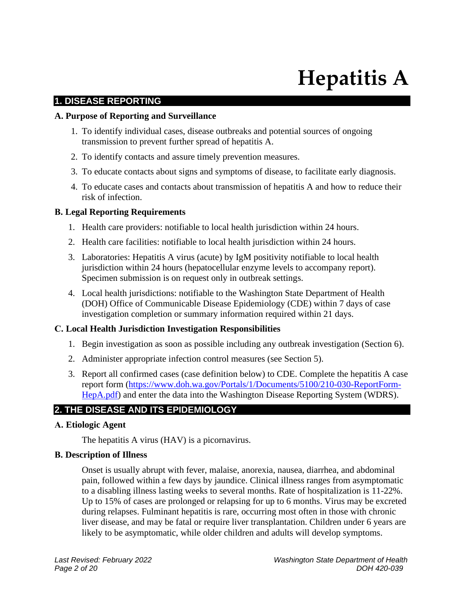# **Hepatitis A**

# **1. DISEASE REPORTING**

#### **A. Purpose of Reporting and Surveillance**

- 1. To identify individual cases, disease outbreaks and potential sources of ongoing transmission to prevent further spread of hepatitis A.
- 2. To identify contacts and assure timely prevention measures.
- 3. To educate contacts about signs and symptoms of disease, to facilitate early diagnosis.
- 4. To educate cases and contacts about transmission of hepatitis A and how to reduce their risk of infection.

# **B. Legal Reporting Requirements**

- 1. Health care providers: notifiable to local health jurisdiction within 24 hours.
- 2. Health care facilities: notifiable to local health jurisdiction within 24 hours.
- 3. Laboratories: Hepatitis A virus (acute) by IgM positivity notifiable to local health jurisdiction within 24 hours (hepatocellular enzyme levels to accompany report). Specimen submission is on request only in outbreak settings.
- 4. Local health jurisdictions: notifiable to the Washington State Department of Health (DOH) Office of Communicable Disease Epidemiology (CDE) within 7 days of case investigation completion or summary information required within 21 days.

# **C. Local Health Jurisdiction Investigation Responsibilities**

- 1. Begin investigation as soon as possible including any outbreak investigation (Section 6).
- 2. Administer appropriate infection control measures (see Section 5).
- 3. Report all confirmed cases (case definition below) to CDE. Complete the hepatitis A case report form [\(https://www.doh.wa.gov/Portals/1/Documents/5100/210-030-ReportForm-](https://www.doh.wa.gov/Portals/1/Documents/5100/210-030-ReportForm-HepA.pdf)[HepA.pdf\)](https://www.doh.wa.gov/Portals/1/Documents/5100/210-030-ReportForm-HepA.pdf) and enter the data into the Washington Disease Reporting System (WDRS).

# **2. THE DISEASE AND ITS EPIDEMIOLOGY**

#### **A. Etiologic Agent**

The hepatitis A virus (HAV) is a picornavirus.

#### **B. Description of Illness**

Onset is usually abrupt with fever, malaise, anorexia, nausea, diarrhea, and abdominal pain, followed within a few days by jaundice. Clinical illness ranges from asymptomatic to a disabling illness lasting weeks to several months. Rate of hospitalization is 11-22%. Up to 15% of cases are prolonged or relapsing for up to 6 months. Virus may be excreted during relapses. Fulminant hepatitis is rare, occurring most often in those with chronic liver disease, and may be fatal or require liver transplantation. Children under 6 years are likely to be asymptomatic, while older children and adults will develop symptoms.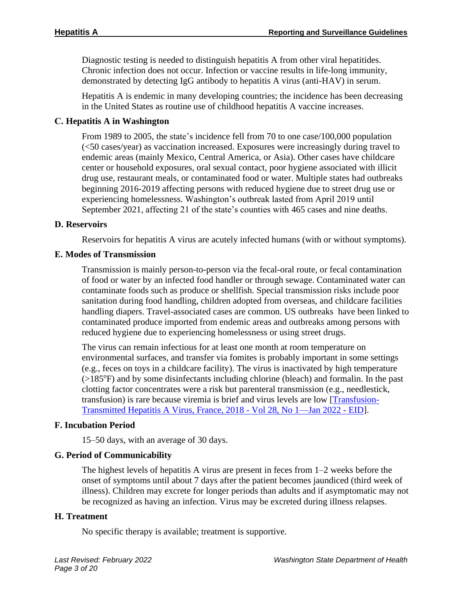Diagnostic testing is needed to distinguish hepatitis A from other viral hepatitides. Chronic infection does not occur. Infection or vaccine results in life-long immunity, demonstrated by detecting IgG antibody to hepatitis A virus (anti-HAV) in serum.

Hepatitis A is endemic in many developing countries; the incidence has been decreasing in the United States as routine use of childhood hepatitis A vaccine increases.

# **C. Hepatitis A in Washington**

From 1989 to 2005, the state's incidence fell from 70 to one case/100,000 population (<50 cases/year) as vaccination increased. Exposures were increasingly during travel to endemic areas (mainly Mexico, Central America, or Asia). Other cases have childcare center or household exposures, oral sexual contact, poor hygiene associated with illicit drug use, restaurant meals, or contaminated food or water. Multiple states had outbreaks beginning 2016-2019 affecting persons with reduced hygiene due to street drug use or experiencing homelessness. Washington's outbreak lasted from April 2019 until September 2021, affecting 21 of the state's counties with 465 cases and nine deaths.

# **D. Reservoirs**

Reservoirs for hepatitis A virus are acutely infected humans (with or without symptoms).

# **E. Modes of Transmission**

Transmission is mainly person-to-person via the fecal-oral route, or fecal contamination of food or water by an infected food handler or through sewage. Contaminated water can contaminate foods such as produce or shellfish. Special transmission risks include poor sanitation during food handling, children adopted from overseas, and childcare facilities handling diapers. Travel-associated cases are common. US outbreaks have been linked to contaminated produce imported from endemic areas and outbreaks among persons with reduced hygiene due to experiencing homelessness or using street drugs.

The virus can remain infectious for at least one month at room temperature on environmental surfaces, and transfer via fomites is probably important in some settings (e.g., feces on toys in a childcare facility). The virus is inactivated by high temperature  $(>185^{\circ}F)$  and by some disinfectants including chlorine (bleach) and formalin. In the past clotting factor concentrates were a risk but parenteral transmission (e.g., needlestick, transfusion) is rare because viremia is brief and virus levels are low [\[Transfusion-](https://wwwnc.cdc.gov/eid/article/28/1/21-0403_article?ACSTrackingID=USCDC_331-DM72445&ACSTrackingLabel=Emerging%20Infectious%20Diseases%20Journal%20-%20Volume%2028%2C%20Issue%201%20-%20January%202022%20Issue%20Now%20Online&deliveryName=USCDC_331-DM72445)[Transmitted Hepatitis A Virus, France, 2018 -](https://wwwnc.cdc.gov/eid/article/28/1/21-0403_article?ACSTrackingID=USCDC_331-DM72445&ACSTrackingLabel=Emerging%20Infectious%20Diseases%20Journal%20-%20Volume%2028%2C%20Issue%201%20-%20January%202022%20Issue%20Now%20Online&deliveryName=USCDC_331-DM72445) Vol 28, No 1—Jan 2022 - EID].

#### **F. Incubation Period**

15–50 days, with an average of 30 days.

# **G. Period of Communicability**

The highest levels of hepatitis A virus are present in feces from 1–2 weeks before the onset of symptoms until about 7 days after the patient becomes jaundiced (third week of illness). Children may excrete for longer periods than adults and if asymptomatic may not be recognized as having an infection. Virus may be excreted during illness relapses.

#### **H. Treatment**

No specific therapy is available; treatment is supportive.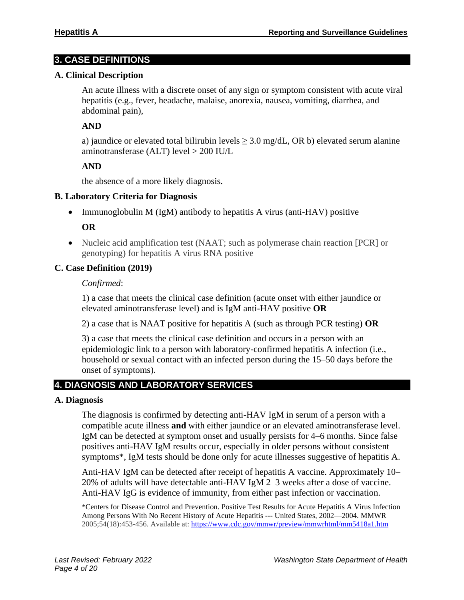# **3. CASE DEFINITIONS**

# **A. Clinical Description**

An acute illness with a discrete onset of any sign or symptom consistent with acute viral hepatitis (e.g., fever, headache, malaise, anorexia, nausea, vomiting, diarrhea, and abdominal pain),

# **AND**

a) jaundice or elevated total bilirubin levels  $\geq$  3.0 mg/dL, OR b) elevated serum alanine aminotransferase (ALT) level > 200 IU/L

# **AND**

the absence of a more likely diagnosis.

#### **B. Laboratory Criteria for Diagnosis**

• Immunoglobulin M (IgM) antibody to hepatitis A virus (anti-HAV) positive

# **OR**

• Nucleic acid amplification test (NAAT; such as polymerase chain reaction [PCR] or genotyping) for hepatitis A virus RNA positive

# **C. Case Definition (2019)**

#### *Confirmed*:

1) a case that meets the clinical case definition (acute onset with either jaundice or elevated aminotransferase level) and is IgM anti-HAV positive **OR**

2) a case that is NAAT positive for hepatitis A (such as through PCR testing) **OR** 

3) a case that meets the clinical case definition and occurs in a person with an epidemiologic link to a person with laboratory-confirmed hepatitis A infection (i.e., household or sexual contact with an infected person during the 15–50 days before the onset of symptoms).

# **4. DIAGNOSIS AND LABORATORY SERVICES**

#### **A. Diagnosis**

The diagnosis is confirmed by detecting anti-HAV IgM in serum of a person with a compatible acute illness **and** with either jaundice or an elevated aminotransferase level. IgM can be detected at symptom onset and usually persists for 4–6 months. Since false positives anti-HAV IgM results occur, especially in older persons without consistent symptoms\*, IgM tests should be done only for acute illnesses suggestive of hepatitis A.

Anti-HAV IgM can be detected after receipt of hepatitis A vaccine. Approximately 10– 20% of adults will have detectable anti-HAV IgM 2–3 weeks after a dose of vaccine. Anti-HAV IgG is evidence of immunity, from either past infection or vaccination.

\*Centers for Disease Control and Prevention. Positive Test Results for Acute Hepatitis A Virus Infection Among Persons With No Recent History of Acute Hepatitis --- United States, 2002—2004. MMWR 2005;54(18):453-456. Available at:<https://www.cdc.gov/mmwr/preview/mmwrhtml/mm5418a1.htm>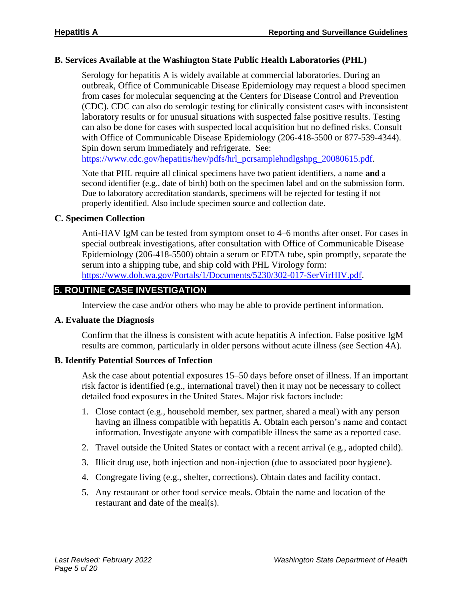#### **B. Services Available at the Washington State Public Health Laboratories (PHL)**

Serology for hepatitis A is widely available at commercial laboratories. During an outbreak, Office of Communicable Disease Epidemiology may request a blood specimen from cases for molecular sequencing at the Centers for Disease Control and Prevention (CDC). CDC can also do serologic testing for clinically consistent cases with inconsistent laboratory results or for unusual situations with suspected false positive results. Testing can also be done for cases with suspected local acquisition but no defined risks. Consult with Office of Communicable Disease Epidemiology (206-418-5500 or 877-539-4344). Spin down serum immediately and refrigerate. See: [https://www.cdc.gov/hepatitis/hev/pdfs/hrl\\_pcrsamplehndlgshpg\\_20080615.pdf.](https://www.cdc.gov/hepatitis/hev/pdfs/hrl_pcrsamplehndlgshpg_20080615.pdf)

Note that PHL require all clinical specimens have two patient identifiers, a name **and** a second identifier (e.g., date of birth) both on the specimen label and on the submission form. Due to laboratory accreditation standards, specimens will be rejected for testing if not properly identified. Also include specimen source and collection date.

#### **C. Specimen Collection**

Anti-HAV IgM can be tested from symptom onset to 4–6 months after onset. For cases in special outbreak investigations, after consultation with Office of Communicable Disease Epidemiology (206-418-5500) obtain a serum or EDTA tube, spin promptly, separate the serum into a shipping tube, and ship cold with PHL Virology form: [https://www.doh.wa.gov/Portals/1/Documents/5230/302-017-SerVirHIV.pdf.](https://www.doh.wa.gov/Portals/1/Documents/5230/302-017-SerVirHIV.pdf)

# **5. ROUTINE CASE INVESTIGATION**

Interview the case and/or others who may be able to provide pertinent information.

#### **A. Evaluate the Diagnosis**

Confirm that the illness is consistent with acute hepatitis A infection. False positive IgM results are common, particularly in older persons without acute illness (see Section 4A).

#### **B. Identify Potential Sources of Infection**

Ask the case about potential exposures 15–50 days before onset of illness. If an important risk factor is identified (e.g., international travel) then it may not be necessary to collect detailed food exposures in the United States. Major risk factors include:

- 1. Close contact (e.g., household member, sex partner, shared a meal) with any person having an illness compatible with hepatitis A. Obtain each person's name and contact information. Investigate anyone with compatible illness the same as a reported case.
- 2. Travel outside the United States or contact with a recent arrival (e.g., adopted child).
- 3. Illicit drug use, both injection and non-injection (due to associated poor hygiene).
- 4. Congregate living (e.g., shelter, corrections). Obtain dates and facility contact.
- 5. Any restaurant or other food service meals. Obtain the name and location of the restaurant and date of the meal(s).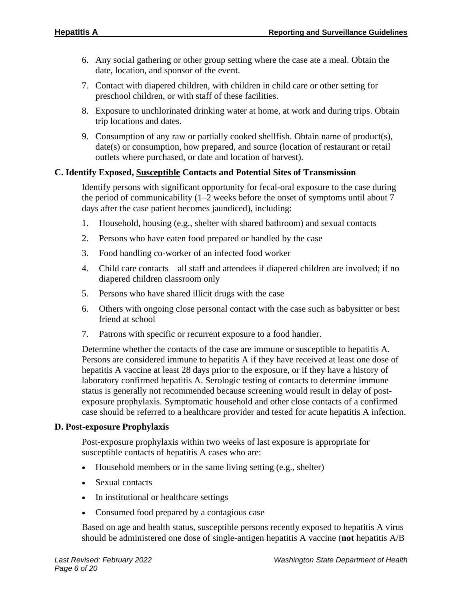- 6. Any social gathering or other group setting where the case ate a meal. Obtain the date, location, and sponsor of the event.
- 7. Contact with diapered children, with children in child care or other setting for preschool children, or with staff of these facilities.
- 8. Exposure to unchlorinated drinking water at home, at work and during trips. Obtain trip locations and dates.
- 9. Consumption of any raw or partially cooked shellfish. Obtain name of product(s), date(s) or consumption, how prepared, and source (location of restaurant or retail outlets where purchased, or date and location of harvest).

# **C. Identify Exposed, Susceptible Contacts and Potential Sites of Transmission**

Identify persons with significant opportunity for fecal-oral exposure to the case during the period of communicability  $(1-2$  weeks before the onset of symptoms until about 7 days after the case patient becomes jaundiced), including:

- 1. Household, housing (e.g., shelter with shared bathroom) and sexual contacts
- 2. Persons who have eaten food prepared or handled by the case
- 3. Food handling co-worker of an infected food worker
- 4. Child care contacts all staff and attendees if diapered children are involved; if no diapered children classroom only
- 5. Persons who have shared illicit drugs with the case
- 6. Others with ongoing close personal contact with the case such as babysitter or best friend at school
- 7. Patrons with specific or recurrent exposure to a food handler.

Determine whether the contacts of the case are immune or susceptible to hepatitis A. Persons are considered immune to hepatitis A if they have received at least one dose of hepatitis A vaccine at least 28 days prior to the exposure, or if they have a history of laboratory confirmed hepatitis A. Serologic testing of contacts to determine immune status is generally not recommended because screening would result in delay of postexposure prophylaxis. Symptomatic household and other close contacts of a confirmed case should be referred to a healthcare provider and tested for acute hepatitis A infection.

#### **D. Post-exposure Prophylaxis**

Post-exposure prophylaxis within two weeks of last exposure is appropriate for susceptible contacts of hepatitis A cases who are:

- Household members or in the same living setting (e.g., shelter)
- Sexual contacts
- In institutional or healthcare settings
- Consumed food prepared by a contagious case

Based on age and health status, susceptible persons recently exposed to hepatitis A virus should be administered one dose of single-antigen hepatitis A vaccine (**not** hepatitis A/B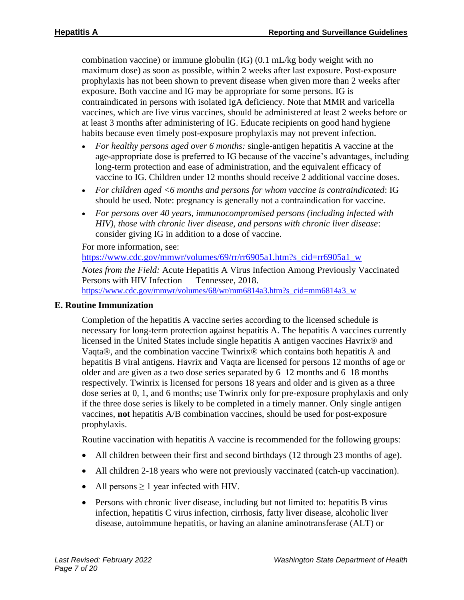combination vaccine) or immune globulin (IG) (0.1 mL/kg body weight with no maximum dose) as soon as possible, within 2 weeks after last exposure. Post-exposure prophylaxis has not been shown to prevent disease when given more than 2 weeks after exposure. Both vaccine and IG may be appropriate for some persons. IG is contraindicated in persons with isolated IgA deficiency. Note that MMR and varicella vaccines, which are live virus vaccines, should be administered at least 2 weeks before or at least 3 months after administering of IG. Educate recipients on good hand hygiene habits because even timely post-exposure prophylaxis may not prevent infection.

- *For healthy persons aged over 6 months:* single-antigen hepatitis A vaccine at the age-appropriate dose is preferred to IG because of the vaccine's advantages, including long-term protection and ease of administration, and the equivalent efficacy of vaccine to IG. Children under 12 months should receive 2 additional vaccine doses.
- *For children aged <6 months and persons for whom vaccine is contraindicated*: IG should be used. Note: pregnancy is generally not a contraindication for vaccine.
- *For persons over 40 years, immunocompromised persons (including infected with HIV), those with chronic liver disease, and persons with chronic liver disease*: consider giving IG in addition to a dose of vaccine.

For more information, see: [https://www.cdc.gov/mmwr/volumes/69/rr/rr6905a1.htm?s\\_cid=rr6905a1\\_w](https://www.cdc.gov/mmwr/volumes/69/rr/rr6905a1.htm?s_cid=rr6905a1_w) *Notes from the Field:* Acute Hepatitis A Virus Infection Among Previously Vaccinated Persons with HIV Infection — Tennessee, 2018.

[https://www.cdc.gov/mmwr/volumes/68/wr/mm6814a3.htm?s\\_cid=mm6814a3\\_w](https://www.cdc.gov/mmwr/volumes/68/wr/mm6814a3.htm?s_cid=mm6814a3_w)

#### **E. Routine Immunization**

Completion of the hepatitis A vaccine series according to the licensed schedule is necessary for long-term protection against hepatitis A. The hepatitis A vaccines currently licensed in the United States include single hepatitis A antigen vaccines Havrix® and Vaqta®, and the combination vaccine Twinrix® which contains both hepatitis A and hepatitis B viral antigens. Havrix and Vaqta are licensed for persons 12 months of age or older and are given as a two dose series separated by 6–12 months and 6–18 months respectively. Twinrix is licensed for persons 18 years and older and is given as a three dose series at 0, 1, and 6 months; use Twinrix only for pre-exposure prophylaxis and only if the three dose series is likely to be completed in a timely manner. Only single antigen vaccines, **not** hepatitis A/B combination vaccines, should be used for post-exposure prophylaxis.

Routine vaccination with hepatitis A vaccine is recommended for the following groups:

- All children between their first and second birthdays (12 through 23 months of age).
- All children 2-18 years who were not previously vaccinated (catch-up vaccination).
- All persons  $\geq 1$  year infected with HIV.
- Persons with chronic liver disease, including but not limited to: hepatitis B virus infection, hepatitis C virus infection, cirrhosis, fatty liver disease, alcoholic liver disease, autoimmune hepatitis, or having an alanine aminotransferase (ALT) or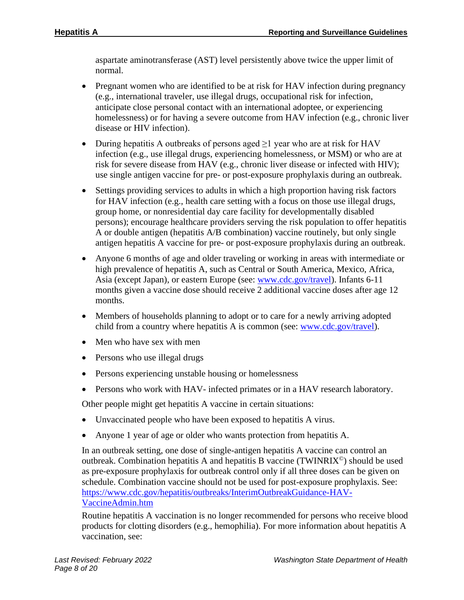aspartate aminotransferase (AST) level persistently above twice the upper limit of normal.

- Pregnant women who are identified to be at risk for HAV infection during pregnancy (e.g., international traveler, use illegal drugs, occupational risk for infection, anticipate close personal contact with an international adoptee, or experiencing homelessness) or for having a severe outcome from HAV infection (e.g., chronic liver disease or HIV infection).
- During hepatitis A outbreaks of persons aged  $\geq 1$  year who are at risk for HAV infection (e.g., use illegal drugs, experiencing homelessness, or MSM) or who are at risk for severe disease from HAV (e.g., chronic liver disease or infected with HIV); use single antigen vaccine for pre- or post-exposure prophylaxis during an outbreak.
- Settings providing services to adults in which a high proportion having risk factors for HAV infection (e.g., health care setting with a focus on those use illegal drugs, group home, or nonresidential day care facility for developmentally disabled persons); encourage healthcare providers serving the risk population to offer hepatitis A or double antigen (hepatitis A/B combination) vaccine routinely, but only single antigen hepatitis A vaccine for pre- or post-exposure prophylaxis during an outbreak.
- Anyone 6 months of age and older traveling or working in areas with intermediate or high prevalence of hepatitis A, such as Central or South America, Mexico, Africa, Asia (except Japan), or eastern Europe (see: [www.cdc.gov/travel\)](http://www.cdc.gov/travel). Infants 6-11 months given a vaccine dose should receive 2 additional vaccine doses after age 12 months.
- Members of households planning to adopt or to care for a newly arriving adopted child from a country where hepatitis A is common (see: [www.cdc.gov/travel\)](http://www.cdc.gov/travel).
- Men who have sex with men
- Persons who use illegal drugs
- Persons experiencing unstable housing or homelessness
- Persons who work with HAV- infected primates or in a HAV research laboratory.

Other people might get hepatitis A vaccine in certain situations:

- Unvaccinated people who have been exposed to hepatitis A virus.
- Anyone 1 year of age or older who wants protection from hepatitis A.

In an outbreak setting, one dose of single-antigen hepatitis A vaccine can control an outbreak. Combination hepatitis A and hepatitis B vaccine (TWINRIX©) should be used as pre-exposure prophylaxis for outbreak control only if all three doses can be given on schedule. Combination vaccine should not be used for post-exposure prophylaxis. See: [https://www.cdc.gov/hepatitis/outbreaks/InterimOutbreakGuidance-HAV-](https://www.cdc.gov/hepatitis/outbreaks/InterimOutbreakGuidance-HAV-VaccineAdmin.htm)[VaccineAdmin.htm](https://www.cdc.gov/hepatitis/outbreaks/InterimOutbreakGuidance-HAV-VaccineAdmin.htm)

Routine hepatitis A vaccination is no longer recommended for persons who receive blood products for clotting disorders (e.g., hemophilia). For more information about hepatitis A vaccination, see: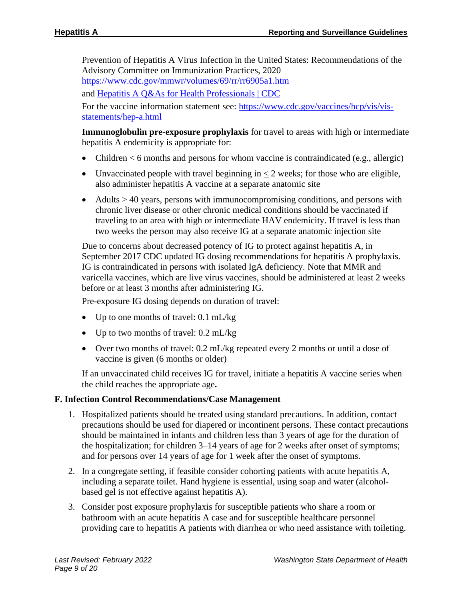Prevention of Hepatitis A Virus Infection in the United States: Recommendations of the Advisory Committee on Immunization Practices, 2020

<https://www.cdc.gov/mmwr/volumes/69/rr/rr6905a1.htm>

and [Hepatitis A Q&As for Health Professionals | CDC](https://www.cdc.gov/hepatitis/hav/havfaq.htm#protection)

For the vaccine information statement see: [https://www.cdc.gov/vaccines/hcp/vis/vis](https://www.cdc.gov/vaccines/hcp/vis/vis-statements/hep-a.html)[statements/hep-a.html](https://www.cdc.gov/vaccines/hcp/vis/vis-statements/hep-a.html)

**Immunoglobulin pre-exposure prophylaxis** for travel to areas with high or intermediate hepatitis A endemicity is appropriate for:

- Children  $< 6$  months and persons for whom vaccine is contraindicated (e.g., allergic)
- Unvaccinated people with travel beginning in  $\leq 2$  weeks; for those who are eligible, also administer hepatitis A vaccine at a separate anatomic site
- Adults > 40 years, persons with immunocompromising conditions, and persons with chronic liver disease or other chronic medical conditions should be vaccinated if traveling to an area with high or intermediate HAV endemicity. If travel is less than two weeks the person may also receive IG at a separate anatomic injection site

Due to concerns about decreased potency of IG to protect against hepatitis A, in September 2017 CDC updated IG dosing recommendations for hepatitis A prophylaxis. IG is contraindicated in persons with isolated IgA deficiency. Note that MMR and varicella vaccines, which are live virus vaccines, should be administered at least 2 weeks before or at least 3 months after administering IG.

Pre-exposure IG dosing depends on duration of travel:

- Up to one months of travel: 0.1 mL/kg
- Up to two months of travel: 0.2 mL/kg
- Over two months of travel: 0.2 mL/kg repeated every 2 months or until a dose of vaccine is given (6 months or older)

If an unvaccinated child receives IG for travel, initiate a hepatitis A vaccine series when the child reaches the appropriate age**.**

# **F. Infection Control Recommendations/Case Management**

- 1. Hospitalized patients should be treated using standard precautions. In addition, contact precautions should be used for diapered or incontinent persons. These contact precautions should be maintained in infants and children less than 3 years of age for the duration of the hospitalization; for children 3–14 years of age for 2 weeks after onset of symptoms; and for persons over 14 years of age for 1 week after the onset of symptoms.
- 2. In a congregate setting, if feasible consider cohorting patients with acute hepatitis A, including a separate toilet. Hand hygiene is essential, using soap and water (alcoholbased gel is not effective against hepatitis A).
- 3. Consider post exposure prophylaxis for susceptible patients who share a room or bathroom with an acute hepatitis A case and for susceptible healthcare personnel providing care to hepatitis A patients with diarrhea or who need assistance with toileting.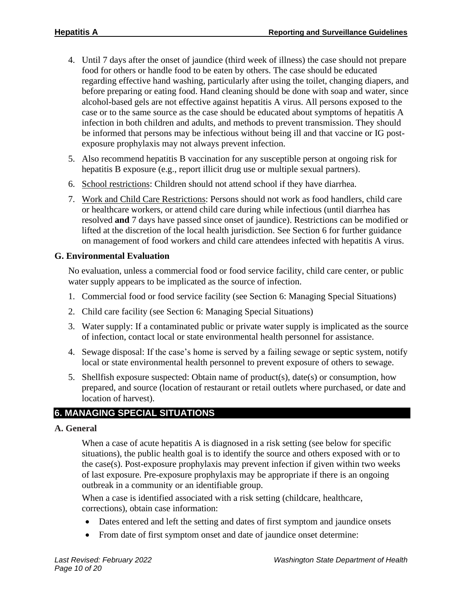- 4. Until 7 days after the onset of jaundice (third week of illness) the case should not prepare food for others or handle food to be eaten by others. The case should be educated regarding effective hand washing, particularly after using the toilet, changing diapers, and before preparing or eating food. Hand cleaning should be done with soap and water, since alcohol-based gels are not effective against hepatitis A virus. All persons exposed to the case or to the same source as the case should be educated about symptoms of hepatitis A infection in both children and adults, and methods to prevent transmission. They should be informed that persons may be infectious without being ill and that vaccine or IG postexposure prophylaxis may not always prevent infection.
- 5. Also recommend hepatitis B vaccination for any susceptible person at ongoing risk for hepatitis B exposure (e.g., report illicit drug use or multiple sexual partners).
- 6. School restrictions: Children should not attend school if they have diarrhea.
- 7. Work and Child Care Restrictions: Persons should not work as food handlers, child care or healthcare workers, or attend child care during while infectious (until diarrhea has resolved **and** 7 days have passed since onset of jaundice). Restrictions can be modified or lifted at the discretion of the local health jurisdiction. See Section 6 for further guidance on management of food workers and child care attendees infected with hepatitis A virus.

# **G. Environmental Evaluation**

No evaluation, unless a commercial food or food service facility, child care center, or public water supply appears to be implicated as the source of infection.

- 1. Commercial food or food service facility (see Section 6: Managing Special Situations)
- 2. Child care facility (see Section 6: Managing Special Situations)
- 3. Water supply: If a contaminated public or private water supply is implicated as the source of infection, contact local or state environmental health personnel for assistance.
- 4. Sewage disposal: If the case's home is served by a failing sewage or septic system, notify local or state environmental health personnel to prevent exposure of others to sewage.
- 5. Shellfish exposure suspected: Obtain name of product(s), date(s) or consumption, how prepared, and source (location of restaurant or retail outlets where purchased, or date and location of harvest).

# **6. MANAGING SPECIAL SITUATIONS**

#### **A. General**

When a case of acute hepatitis A is diagnosed in a risk setting (see below for specific situations), the public health goal is to identify the source and others exposed with or to the case(s). Post-exposure prophylaxis may prevent infection if given within two weeks of last exposure. Pre-exposure prophylaxis may be appropriate if there is an ongoing outbreak in a community or an identifiable group.

When a case is identified associated with a risk setting (childcare, healthcare, corrections), obtain case information:

- Dates entered and left the setting and dates of first symptom and jaundice onsets
- From date of first symptom onset and date of jaundice onset determine: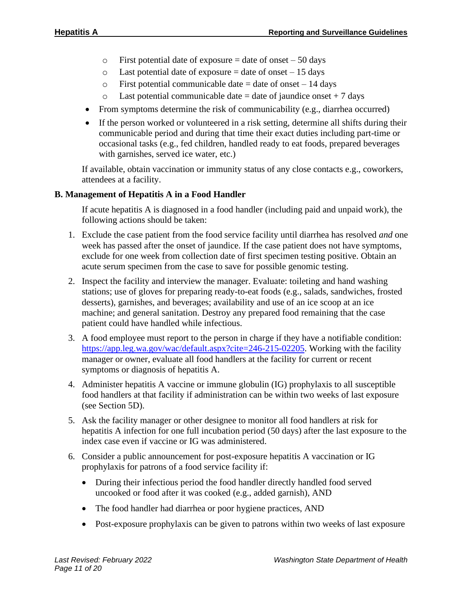- $\circ$  First potential date of exposure = date of onset 50 days
- $\circ$  Last potential date of exposure = date of onset 15 days
- $\circ$  First potential communicable date = date of onset 14 days
- $\circ$  Last potential communicable date = date of jaundice onset + 7 days
- From symptoms determine the risk of communicability (e.g., diarrhea occurred)
- If the person worked or volunteered in a risk setting, determine all shifts during their communicable period and during that time their exact duties including part-time or occasional tasks (e.g., fed children, handled ready to eat foods, prepared beverages with garnishes, served ice water, etc.)

If available, obtain vaccination or immunity status of any close contacts e.g., coworkers, attendees at a facility.

# **B. Management of Hepatitis A in a Food Handler**

If acute hepatitis A is diagnosed in a food handler (including paid and unpaid work), the following actions should be taken:

- 1. Exclude the case patient from the food service facility until diarrhea has resolved *and* one week has passed after the onset of jaundice. If the case patient does not have symptoms, exclude for one week from collection date of first specimen testing positive. Obtain an acute serum specimen from the case to save for possible genomic testing.
- 2. Inspect the facility and interview the manager. Evaluate: toileting and hand washing stations; use of gloves for preparing ready-to-eat foods (e.g., salads, sandwiches, frosted desserts), garnishes, and beverages; availability and use of an ice scoop at an ice machine; and general sanitation. Destroy any prepared food remaining that the case patient could have handled while infectious.
- 3. A food employee must report to the person in charge if they have a notifiable condition: [https://app.leg.wa.gov/wac/default.aspx?cite=246-215-02205.](https://app.leg.wa.gov/wac/default.aspx?cite=246-215-02205) Working with the facility manager or owner, evaluate all food handlers at the facility for current or recent symptoms or diagnosis of hepatitis A.
- 4. Administer hepatitis A vaccine or immune globulin (IG) prophylaxis to all susceptible food handlers at that facility if administration can be within two weeks of last exposure (see Section 5D).
- 5. Ask the facility manager or other designee to monitor all food handlers at risk for hepatitis A infection for one full incubation period (50 days) after the last exposure to the index case even if vaccine or IG was administered.
- 6. Consider a public announcement for post-exposure hepatitis A vaccination or IG prophylaxis for patrons of a food service facility if:
	- During their infectious period the food handler directly handled food served uncooked or food after it was cooked (e.g., added garnish), AND
	- The food handler had diarrhea or poor hygiene practices, AND
	- Post-exposure prophylaxis can be given to patrons within two weeks of last exposure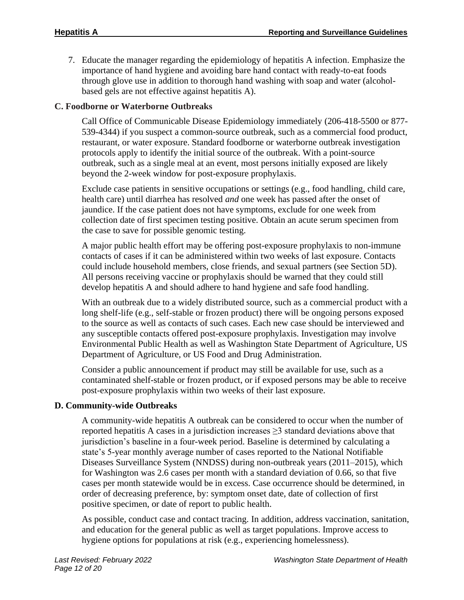7. Educate the manager regarding the epidemiology of hepatitis A infection. Emphasize the importance of hand hygiene and avoiding bare hand contact with ready-to-eat foods through glove use in addition to thorough hand washing with soap and water (alcoholbased gels are not effective against hepatitis A).

# **C. Foodborne or Waterborne Outbreaks**

Call Office of Communicable Disease Epidemiology immediately (206-418-5500 or 877- 539-4344) if you suspect a common-source outbreak, such as a commercial food product, restaurant, or water exposure. Standard foodborne or waterborne outbreak investigation protocols apply to identify the initial source of the outbreak. With a point-source outbreak, such as a single meal at an event, most persons initially exposed are likely beyond the 2-week window for post-exposure prophylaxis.

Exclude case patients in sensitive occupations or settings (e.g., food handling, child care, health care) until diarrhea has resolved *and* one week has passed after the onset of jaundice. If the case patient does not have symptoms, exclude for one week from collection date of first specimen testing positive. Obtain an acute serum specimen from the case to save for possible genomic testing.

A major public health effort may be offering post-exposure prophylaxis to non-immune contacts of cases if it can be administered within two weeks of last exposure. Contacts could include household members, close friends, and sexual partners (see Section 5D). All persons receiving vaccine or prophylaxis should be warned that they could still develop hepatitis A and should adhere to hand hygiene and safe food handling.

With an outbreak due to a widely distributed source, such as a commercial product with a long shelf-life (e.g., self-stable or frozen product) there will be ongoing persons exposed to the source as well as contacts of such cases. Each new case should be interviewed and any susceptible contacts offered post-exposure prophylaxis. Investigation may involve Environmental Public Health as well as Washington State Department of Agriculture, US Department of Agriculture, or US Food and Drug Administration.

Consider a public announcement if product may still be available for use, such as a contaminated shelf-stable or frozen product, or if exposed persons may be able to receive post-exposure prophylaxis within two weeks of their last exposure.

#### **D. Community-wide Outbreaks**

A community-wide hepatitis A outbreak can be considered to occur when the number of reported hepatitis A cases in a jurisdiction increases  $\geq$ 3 standard deviations above that jurisdiction's baseline in a four-week period. Baseline is determined by calculating a state's 5-year monthly average number of cases reported to the National Notifiable Diseases Surveillance System (NNDSS) during non-outbreak years (2011–2015), which for Washington was 2.6 cases per month with a standard deviation of 0.66, so that five cases per month statewide would be in excess. Case occurrence should be determined, in order of decreasing preference, by: symptom onset date, date of collection of first positive specimen, or date of report to public health.

As possible, conduct case and contact tracing. In addition, address vaccination, sanitation, and education for the general public as well as target populations. Improve access to hygiene options for populations at risk (e.g., experiencing homelessness).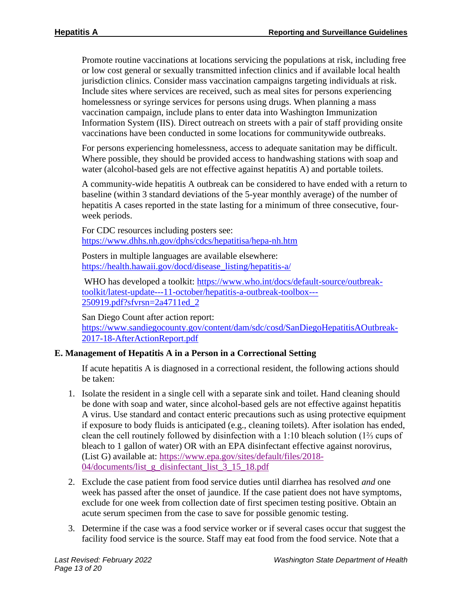Promote routine vaccinations at locations servicing the populations at risk, including free or low cost general or sexually transmitted infection clinics and if available local health jurisdiction clinics. Consider mass vaccination campaigns targeting individuals at risk. Include sites where services are received, such as meal sites for persons experiencing homelessness or syringe services for persons using drugs. When planning a mass vaccination campaign, include plans to enter data into Washington Immunization Information System (IIS). Direct outreach on streets with a pair of staff providing onsite vaccinations have been conducted in some locations for communitywide outbreaks.

For persons experiencing homelessness, access to adequate sanitation may be difficult. Where possible, they should be provided access to handwashing stations with soap and water (alcohol-based gels are not effective against hepatitis A) and portable toilets.

A community-wide hepatitis A outbreak can be considered to have ended with a return to baseline (within 3 standard deviations of the 5-year monthly average) of the number of hepatitis A cases reported in the state lasting for a minimum of three consecutive, fourweek periods.

For CDC resources including posters see: <https://www.dhhs.nh.gov/dphs/cdcs/hepatitisa/hepa-nh.htm>

Posters in multiple languages are available elsewhere: [https://health.hawaii.gov/docd/disease\\_listing/hepatitis-a/](https://health.hawaii.gov/docd/disease_listing/hepatitis-a/)

WHO has developed a toolkit: [https://www.who.int/docs/default-source/outbreak](https://www.who.int/docs/default-source/outbreak-toolkit/latest-update---11-october/hepatitis-a-outbreak-toolbox---250919.pdf?sfvrsn=2a4711ed_2)[toolkit/latest-update---11-october/hepatitis-a-outbreak-toolbox---](https://www.who.int/docs/default-source/outbreak-toolkit/latest-update---11-october/hepatitis-a-outbreak-toolbox---250919.pdf?sfvrsn=2a4711ed_2) [250919.pdf?sfvrsn=2a4711ed\\_2](https://www.who.int/docs/default-source/outbreak-toolkit/latest-update---11-october/hepatitis-a-outbreak-toolbox---250919.pdf?sfvrsn=2a4711ed_2)

San Diego Count after action report:

[https://www.sandiegocounty.gov/content/dam/sdc/cosd/SanDiegoHepatitisAOutbreak-](https://www.sandiegocounty.gov/content/dam/sdc/cosd/SanDiegoHepatitisAOutbreak-2017-18-AfterActionReport.pdf)[2017-18-AfterActionReport.pdf](https://www.sandiegocounty.gov/content/dam/sdc/cosd/SanDiegoHepatitisAOutbreak-2017-18-AfterActionReport.pdf)

# **E. Management of Hepatitis A in a Person in a Correctional Setting**

If acute hepatitis A is diagnosed in a correctional resident, the following actions should be taken:

- 1. Isolate the resident in a single cell with a separate sink and toilet. Hand cleaning should be done with soap and water, since alcohol-based gels are not effective against hepatitis A virus. Use standard and contact enteric precautions such as using protective equipment if exposure to body fluids is anticipated (e.g., cleaning toilets). After isolation has ended, clean the cell routinely followed by disinfection with a 1:10 bleach solution (1⅔ cups of bleach to 1 gallon of water) OR with an EPA disinfectant effective against norovirus, (List G) available at: [https://www.epa.gov/sites/default/files/2018-](https://www.epa.gov/sites/default/files/2018-04/documents/list_g_disinfectant_list_3_15_18.pdf) [04/documents/list\\_g\\_disinfectant\\_list\\_3\\_15\\_18.pdf](https://www.epa.gov/sites/default/files/2018-04/documents/list_g_disinfectant_list_3_15_18.pdf)
- 2. Exclude the case patient from food service duties until diarrhea has resolved *and* one week has passed after the onset of jaundice. If the case patient does not have symptoms, exclude for one week from collection date of first specimen testing positive. Obtain an acute serum specimen from the case to save for possible genomic testing.
- 3. Determine if the case was a food service worker or if several cases occur that suggest the facility food service is the source. Staff may eat food from the food service. Note that a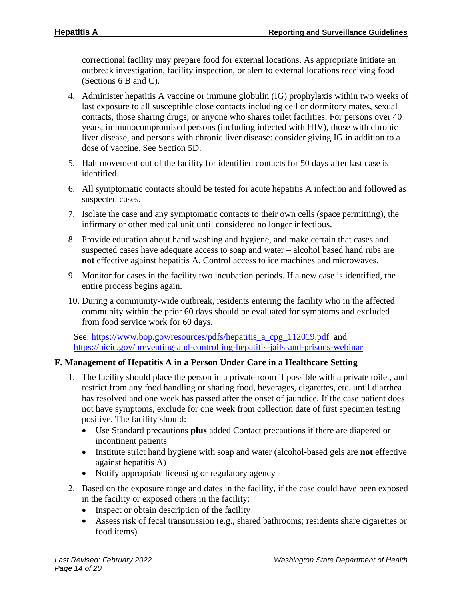correctional facility may prepare food for external locations. As appropriate initiate an outbreak investigation, facility inspection, or alert to external locations receiving food (Sections 6 B and C).

- 4. Administer hepatitis A vaccine or immune globulin (IG) prophylaxis within two weeks of last exposure to all susceptible close contacts including cell or dormitory mates, sexual contacts, those sharing drugs, or anyone who shares toilet facilities. For persons over 40 years, immunocompromised persons (including infected with HIV), those with chronic liver disease, and persons with chronic liver disease: consider giving IG in addition to a dose of vaccine. See Section 5D.
- 5. Halt movement out of the facility for identified contacts for 50 days after last case is identified.
- 6. All symptomatic contacts should be tested for acute hepatitis A infection and followed as suspected cases.
- 7. Isolate the case and any symptomatic contacts to their own cells (space permitting), the infirmary or other medical unit until considered no longer infectious.
- 8. Provide education about hand washing and hygiene, and make certain that cases and suspected cases have adequate access to soap and water – alcohol based hand rubs are **not** effective against hepatitis A. Control access to ice machines and microwaves.
- 9. Monitor for cases in the facility two incubation periods. If a new case is identified, the entire process begins again.
- 10. During a community-wide outbreak, residents entering the facility who in the affected community within the prior 60 days should be evaluated for symptoms and excluded from food service work for 60 days.

See: [https://www.bop.gov/resources/pdfs/hepatitis\\_a\\_cpg\\_112019.pdf](https://www.bop.gov/resources/pdfs/hepatitis_a_cpg_112019.pdf) and <https://nicic.gov/preventing-and-controlling-hepatitis-jails-and-prisons-webinar>

# **F. Management of Hepatitis A in a Person Under Care in a Healthcare Setting**

- 1. The facility should place the person in a private room if possible with a private toilet, and restrict from any food handling or sharing food, beverages, cigarettes, etc. until diarrhea has resolved and one week has passed after the onset of jaundice. If the case patient does not have symptoms, exclude for one week from collection date of first specimen testing positive. The facility should:
	- Use Standard precautions **plus** added Contact precautions if there are diapered or incontinent patients
	- Institute strict hand hygiene with soap and water (alcohol-based gels are **not** effective against hepatitis A)
	- Notify appropriate licensing or regulatory agency
- 2. Based on the exposure range and dates in the facility, if the case could have been exposed in the facility or exposed others in the facility:
	- Inspect or obtain description of the facility
	- Assess risk of fecal transmission (e.g., shared bathrooms; residents share cigarettes or food items)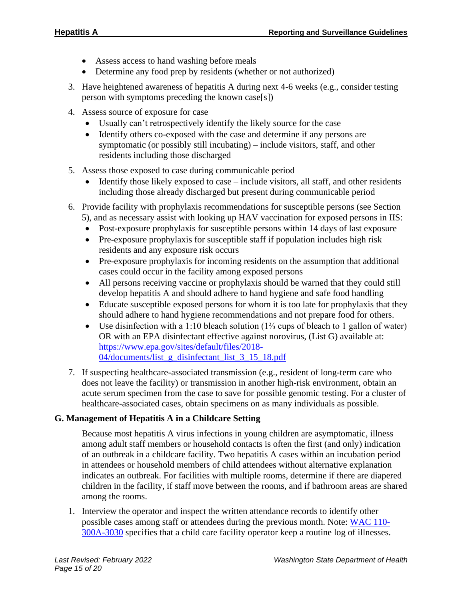- Assess access to hand washing before meals
- Determine any food prep by residents (whether or not authorized)
- 3. Have heightened awareness of hepatitis A during next 4-6 weeks (e.g., consider testing person with symptoms preceding the known case[s])
- 4. Assess source of exposure for case
	- Usually can't retrospectively identify the likely source for the case
	- Identify others co-exposed with the case and determine if any persons are symptomatic (or possibly still incubating) – include visitors, staff, and other residents including those discharged
- 5. Assess those exposed to case during communicable period
	- Identify those likely exposed to case include visitors, all staff, and other residents including those already discharged but present during communicable period
- 6. Provide facility with prophylaxis recommendations for susceptible persons (see Section 5), and as necessary assist with looking up HAV vaccination for exposed persons in IIS:
	- Post-exposure prophylaxis for susceptible persons within 14 days of last exposure
	- Pre-exposure prophylaxis for susceptible staff if population includes high risk residents and any exposure risk occurs
	- Pre-exposure prophylaxis for incoming residents on the assumption that additional cases could occur in the facility among exposed persons
	- All persons receiving vaccine or prophylaxis should be warned that they could still develop hepatitis A and should adhere to hand hygiene and safe food handling
	- Educate susceptible exposed persons for whom it is too late for prophylaxis that they should adhere to hand hygiene recommendations and not prepare food for others.
	- Use disinfection with a 1:10 bleach solution (1⅔ cups of bleach to 1 gallon of water) OR with an EPA disinfectant effective against norovirus, (List G) available at: [https://www.epa.gov/sites/default/files/2018-](https://www.epa.gov/sites/default/files/2018-04/documents/list_g_disinfectant_list_3_15_18.pdf) 04/documents/list g disinfectant list 3 15 18.pdf
- 7. If suspecting healthcare-associated transmission (e.g., resident of long-term care who does not leave the facility) or transmission in another high-risk environment, obtain an acute serum specimen from the case to save for possible genomic testing. For a cluster of healthcare-associated cases, obtain specimens on as many individuals as possible.

# **G. Management of Hepatitis A in a Childcare Setting**

Because most hepatitis A virus infections in young children are asymptomatic, illness among adult staff members or household contacts is often the first (and only) indication of an outbreak in a childcare facility. Two hepatitis A cases within an incubation period in attendees or household members of child attendees without alternative explanation indicates an outbreak. For facilities with multiple rooms, determine if there are diapered children in the facility, if staff move between the rooms, and if bathroom areas are shared among the rooms.

1. Interview the operator and inspect the written attendance records to identify other possible cases among staff or attendees during the previous month. Note: [WAC 110-](http://app.leg.wa.gov/wac/default.aspx?cite=110-300A-3030) [300A-3030](http://app.leg.wa.gov/wac/default.aspx?cite=110-300A-3030) specifies that a child care facility operator keep a routine log of illnesses.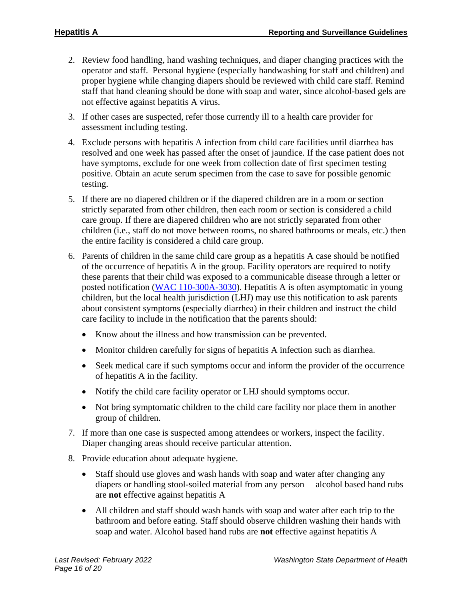- 2. Review food handling, hand washing techniques, and diaper changing practices with the operator and staff. Personal hygiene (especially handwashing for staff and children) and proper hygiene while changing diapers should be reviewed with child care staff. Remind staff that hand cleaning should be done with soap and water, since alcohol-based gels are not effective against hepatitis A virus.
- 3. If other cases are suspected, refer those currently ill to a health care provider for assessment including testing.
- 4. Exclude persons with hepatitis A infection from child care facilities until diarrhea has resolved and one week has passed after the onset of jaundice. If the case patient does not have symptoms, exclude for one week from collection date of first specimen testing positive. Obtain an acute serum specimen from the case to save for possible genomic testing.
- 5. If there are no diapered children or if the diapered children are in a room or section strictly separated from other children, then each room or section is considered a child care group. If there are diapered children who are not strictly separated from other children (i.e., staff do not move between rooms, no shared bathrooms or meals, etc.) then the entire facility is considered a child care group.
- 6. Parents of children in the same child care group as a hepatitis A case should be notified of the occurrence of hepatitis A in the group. Facility operators are required to notify these parents that their child was exposed to a communicable disease through a letter or posted notification [\(WAC 110-300A-3030\)](http://app.leg.wa.gov/wac/default.aspx?cite=110-300A-3030). Hepatitis A is often asymptomatic in young children, but the local health jurisdiction (LHJ) may use this notification to ask parents about consistent symptoms (especially diarrhea) in their children and instruct the child care facility to include in the notification that the parents should:
	- Know about the illness and how transmission can be prevented.
	- Monitor children carefully for signs of hepatitis A infection such as diarrhea.
	- Seek medical care if such symptoms occur and inform the provider of the occurrence of hepatitis A in the facility.
	- Notify the child care facility operator or LHJ should symptoms occur.
	- Not bring symptomatic children to the child care facility nor place them in another group of children.
- 7. If more than one case is suspected among attendees or workers, inspect the facility. Diaper changing areas should receive particular attention.
- 8. Provide education about adequate hygiene.
	- Staff should use gloves and wash hands with soap and water after changing any diapers or handling stool-soiled material from any person – alcohol based hand rubs are **not** effective against hepatitis A
	- All children and staff should wash hands with soap and water after each trip to the bathroom and before eating. Staff should observe children washing their hands with soap and water. Alcohol based hand rubs are **not** effective against hepatitis A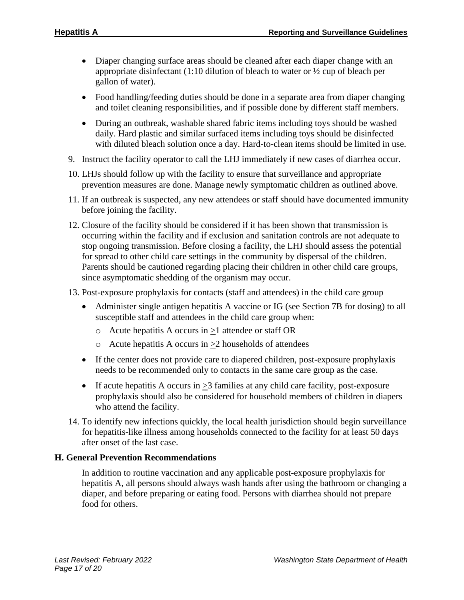- Diaper changing surface areas should be cleaned after each diaper change with an appropriate disinfectant (1:10 dilution of bleach to water or ½ cup of bleach per gallon of water).
- Food handling/feeding duties should be done in a separate area from diaper changing and toilet cleaning responsibilities, and if possible done by different staff members.
- During an outbreak, washable shared fabric items including toys should be washed daily. Hard plastic and similar surfaced items including toys should be disinfected with diluted bleach solution once a day. Hard-to-clean items should be limited in use.
- 9. Instruct the facility operator to call the LHJ immediately if new cases of diarrhea occur.
- 10. LHJs should follow up with the facility to ensure that surveillance and appropriate prevention measures are done. Manage newly symptomatic children as outlined above.
- 11. If an outbreak is suspected, any new attendees or staff should have documented immunity before joining the facility.
- 12. Closure of the facility should be considered if it has been shown that transmission is occurring within the facility and if exclusion and sanitation controls are not adequate to stop ongoing transmission. Before closing a facility, the LHJ should assess the potential for spread to other child care settings in the community by dispersal of the children. Parents should be cautioned regarding placing their children in other child care groups, since asymptomatic shedding of the organism may occur.
- 13. Post-exposure prophylaxis for contacts (staff and attendees) in the child care group
	- Administer single antigen hepatitis A vaccine or IG (see Section 7B for dosing) to all susceptible staff and attendees in the child care group when:
		- $\circ$  Acute hepatitis A occurs in  $\geq 1$  attendee or staff OR
		- $\circ$  Acute hepatitis A occurs in  $\geq 2$  households of attendees
	- If the center does not provide care to diapered children, post-exposure prophylaxis needs to be recommended only to contacts in the same care group as the case.
	- If acute hepatitis A occurs in  $>3$  families at any child care facility, post-exposure prophylaxis should also be considered for household members of children in diapers who attend the facility.
- 14. To identify new infections quickly, the local health jurisdiction should begin surveillance for hepatitis-like illness among households connected to the facility for at least 50 days after onset of the last case.

# **H. General Prevention Recommendations**

In addition to routine vaccination and any applicable post-exposure prophylaxis for hepatitis A, all persons should always wash hands after using the bathroom or changing a diaper, and before preparing or eating food. Persons with diarrhea should not prepare food for others.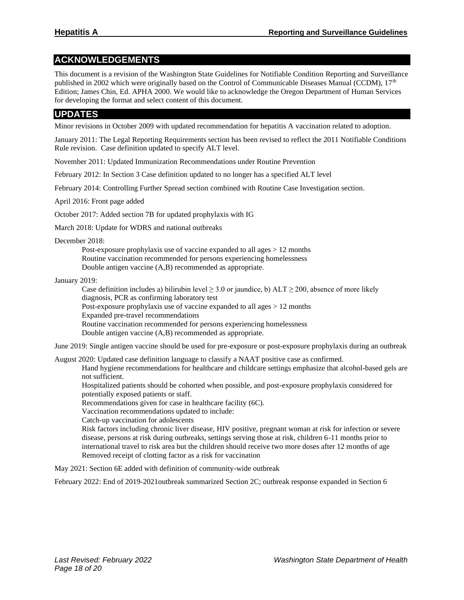# **ACKNOWLEDGEMENTS**

This document is a revision of the Washington State Guidelines for Notifiable Condition Reporting and Surveillance published in 2002 which were originally based on the Control of Communicable Diseases Manual (CCDM), 17<sup>th</sup> Edition; James Chin, Ed. APHA 2000. We would like to acknowledge the Oregon Department of Human Services for developing the format and select content of this document.

# **UPDATES**

Minor revisions in October 2009 with updated recommendation for hepatitis A vaccination related to adoption.

January 2011: The Legal Reporting Requirements section has been revised to reflect the 2011 Notifiable Conditions Rule revision. Case definition updated to specify ALT level.

November 2011: Updated Immunization Recommendations under Routine Prevention

February 2012: In Section 3 Case definition updated to no longer has a specified ALT level

February 2014: Controlling Further Spread section combined with Routine Case Investigation section.

April 2016: Front page added

October 2017: Added section 7B for updated prophylaxis with IG

March 2018: Update for WDRS and national outbreaks

December 2018:

Post-exposure prophylaxis use of vaccine expanded to all ages > 12 months Routine vaccination recommended for persons experiencing homelessness Double antigen vaccine (A,B) recommended as appropriate.

January 2019:

Case definition includes a) bilirubin level  $\geq$  3.0 or jaundice, b) ALT  $\geq$  200, absence of more likely diagnosis, PCR as confirming laboratory test Post-exposure prophylaxis use of vaccine expanded to all ages > 12 months Expanded pre-travel recommendations Routine vaccination recommended for persons experiencing homelessness Double antigen vaccine (A,B) recommended as appropriate.

June 2019: Single antigen vaccine should be used for pre-exposure or post-exposure prophylaxis during an outbreak

August 2020: Updated case definition language to classify a NAAT positive case as confirmed.

Hand hygiene recommendations for healthcare and childcare settings emphasize that alcohol-based gels are not sufficient.

Hospitalized patients should be cohorted when possible, and post-exposure prophylaxis considered for potentially exposed patients or staff.

Recommendations given for case in healthcare facility (6C).

Vaccination recommendations updated to include:

Catch-up vaccination for adolescents

Risk factors including chronic liver disease, HIV positive, pregnant woman at risk for infection or severe disease, persons at risk during outbreaks, settings serving those at risk, children 6-11 months prior to international travel to risk area but the children should receive two more doses after 12 months of age Removed receipt of clotting factor as a risk for vaccination

May 2021: Section 6E added with definition of community-wide outbreak

February 2022: End of 2019-2021outbreak summarized Section 2C; outbreak response expanded in Section 6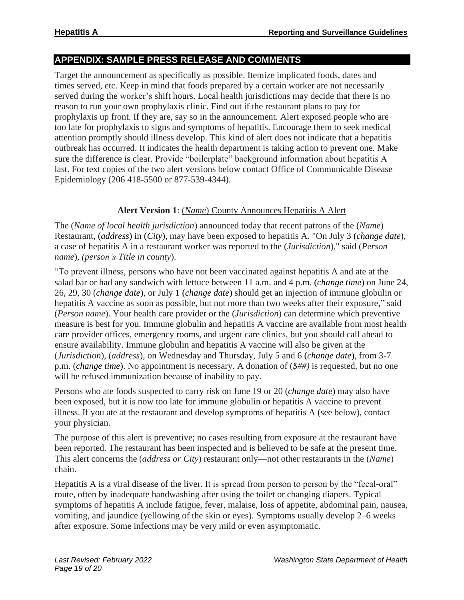# **APPENDIX: SAMPLE PRESS RELEASE AND COMMENTS**

Target the announcement as specifically as possible. Itemize implicated foods, dates and times served, etc. Keep in mind that foods prepared by a certain worker are not necessarily served during the worker's shift hours. Local health jurisdictions may decide that there is no reason to run your own prophylaxis clinic. Find out if the restaurant plans to pay for prophylaxis up front. If they are, say so in the announcement. Alert exposed people who are too late for prophylaxis to signs and symptoms of hepatitis. Encourage them to seek medical attention promptly should illness develop. This kind of alert does not indicate that a hepatitis outbreak has occurred. It indicates the health department is taking action to prevent one. Make sure the difference is clear. Provide "boilerplate" background information about hepatitis A last. For text copies of the two alert versions below contact Office of Communicable Disease Epidemiology (206 418-5500 or 877-539-4344).

# **Alert Version 1**: (*Name*) County Announces Hepatitis A Alert

The (*Name of local health jurisdiction*) announced today that recent patrons of the (*Name*) Restaurant, (*address*) in (*City*), may have been exposed to hepatitis A. "On July 3 (*change date*), a case of hepatitis A in a restaurant worker was reported to the (*Jurisdiction*)," said (*Person name*), *(person's Title in county*).

"To prevent illness, persons who have not been vaccinated against hepatitis A and ate at the salad bar or had any sandwich with lettuce between 11 a.m. and 4 p.m. (*change time*) on June 24, 26, 29, 30 (*change date*), or July 1 (*change date*) should get an injection of immune globulin or hepatitis A vaccine as soon as possible, but not more than two weeks after their exposure," said (*Person name*). Your health care provider or the (*Jurisdiction*) can determine which preventive measure is best for you. Immune globulin and hepatitis A vaccine are available from most health care provider offices, emergency rooms, and urgent care clinics, but you should call ahead to ensure availability. Immune globulin and hepatitis A vaccine will also be given at the (*Jurisdiction*), (*address*), on Wednesday and Thursday, July 5 and 6 (*change date*), from 3-7 p.m. (*change time*). No appointment is necessary. A donation of (*\$##)* is requested, but no one will be refused immunization because of inability to pay.

Persons who ate foods suspected to carry risk on June 19 or 20 (*change date*) may also have been exposed, but it is now too late for immune globulin or hepatitis A vaccine to prevent illness. If you ate at the restaurant and develop symptoms of hepatitis A (see below), contact your physician.

The purpose of this alert is preventive; no cases resulting from exposure at the restaurant have been reported. The restaurant has been inspected and is believed to be safe at the present time. This alert concerns the (*address or City*) restaurant only—not other restaurants in the (*Name*) chain.

Hepatitis A is a viral disease of the liver. It is spread from person to person by the "fecal-oral" route, often by inadequate handwashing after using the toilet or changing diapers. Typical symptoms of hepatitis A include fatigue, fever, malaise, loss of appetite, abdominal pain, nausea, vomiting, and jaundice (yellowing of the skin or eyes). Symptoms usually develop 2–6 weeks after exposure. Some infections may be very mild or even asymptomatic.